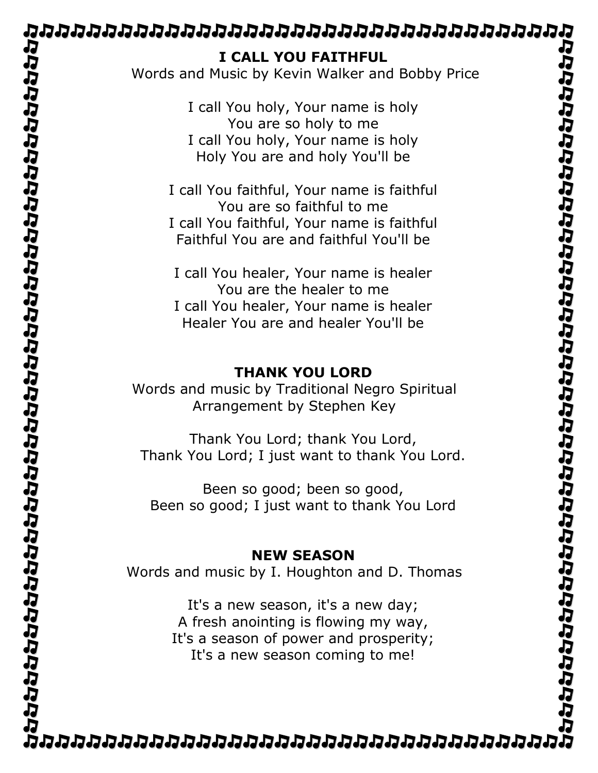| I CALL YOU FAITHFUL<br>Words and Music by Kevin Walker and Bobby Price                                                                                           |  |
|------------------------------------------------------------------------------------------------------------------------------------------------------------------|--|
| I call You holy, Your name is holy<br>You are so holy to me<br>I call You holy, Your name is holy<br>Holy You are and holy You'll be                             |  |
| I call You faithful, Your name is faithful<br>You are so faithful to me<br>I call You faithful, Your name is faithful<br>Faithful You are and faithful You'll be |  |
| I call You healer, Your name is healer<br>You are the healer to me<br>I call You healer, Your name is healer<br>Healer You are and healer You'll be              |  |
| <b>THANK YOU LORD</b><br>Words and music by Traditional Negro Spiritual<br>Arrangement by Stephen Key                                                            |  |
| Thank You Lord; thank You Lord,<br>Thank You Lord; I just want to thank You Lord.                                                                                |  |
| Been so good; been so good,<br>Been so good; I just want to thank You Lord                                                                                       |  |
| <b>NEW SEASON</b><br>Words and music by I. Houghton and D. Thomas                                                                                                |  |
| It's a new season, it's a new day;<br>A fresh anointing is flowing my way,<br>It's a season of power and prosperity;<br>It's a new season coming to me!          |  |
|                                                                                                                                                                  |  |
|                                                                                                                                                                  |  |